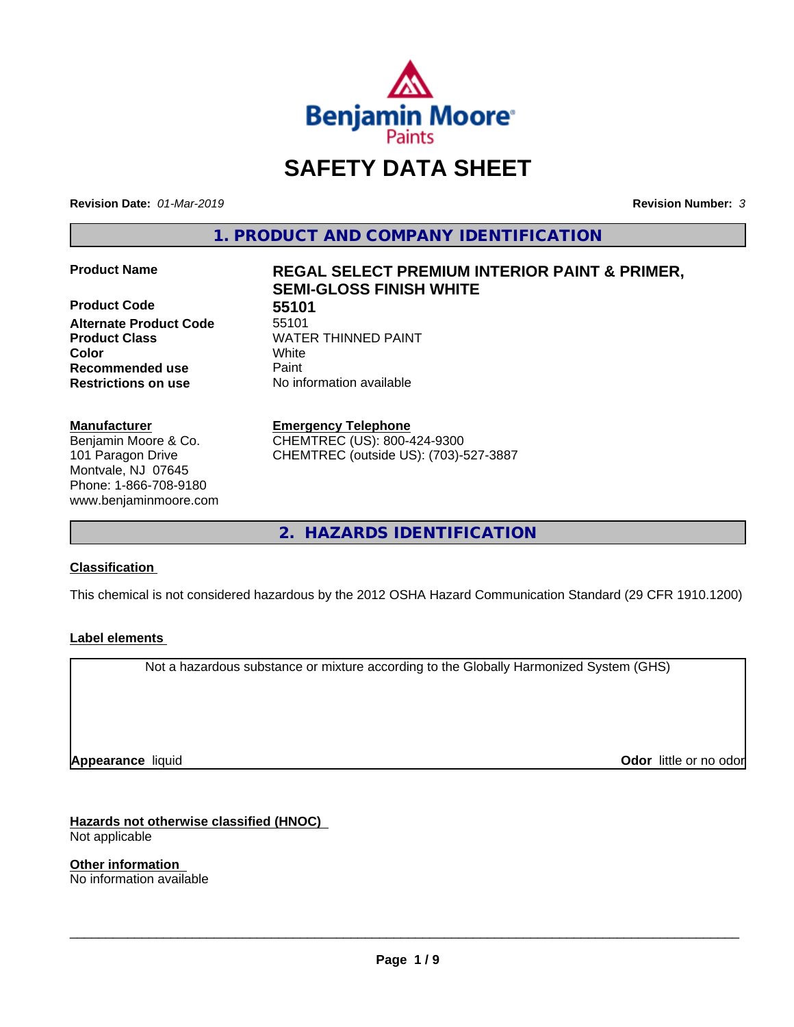

# **SAFETY DATA SHEET**

**Revision Date:** *01-Mar-2019* **Revision Number:** *3*

**1. PRODUCT AND COMPANY IDENTIFICATION**

**Product Code 55101**<br>**Alternate Product Code** 55101 **Alternate Product Code Product Class WATER THINNED PAINT Recommended use** Paint **Restrictions on use** No information available

#### **Manufacturer**

Benjamin Moore & Co. 101 Paragon Drive Montvale, NJ 07645 Phone: 1-866-708-9180 www.benjaminmoore.com

# **Product Name REGAL SELECT PREMIUM INTERIOR PAINT & PRIMER, SEMI-GLOSS FINISH WHITE**

**Color** White

**Emergency Telephone**

CHEMTREC (US): 800-424-9300 CHEMTREC (outside US): (703)-527-3887

**2. HAZARDS IDENTIFICATION**

#### **Classification**

This chemical is not considered hazardous by the 2012 OSHA Hazard Communication Standard (29 CFR 1910.1200)

#### **Label elements**

Not a hazardous substance or mixture according to the Globally Harmonized System (GHS)

**Appearance** liquid

**Odor** little or no odor

**Hazards not otherwise classified (HNOC)** Not applicable

**Other information** No information available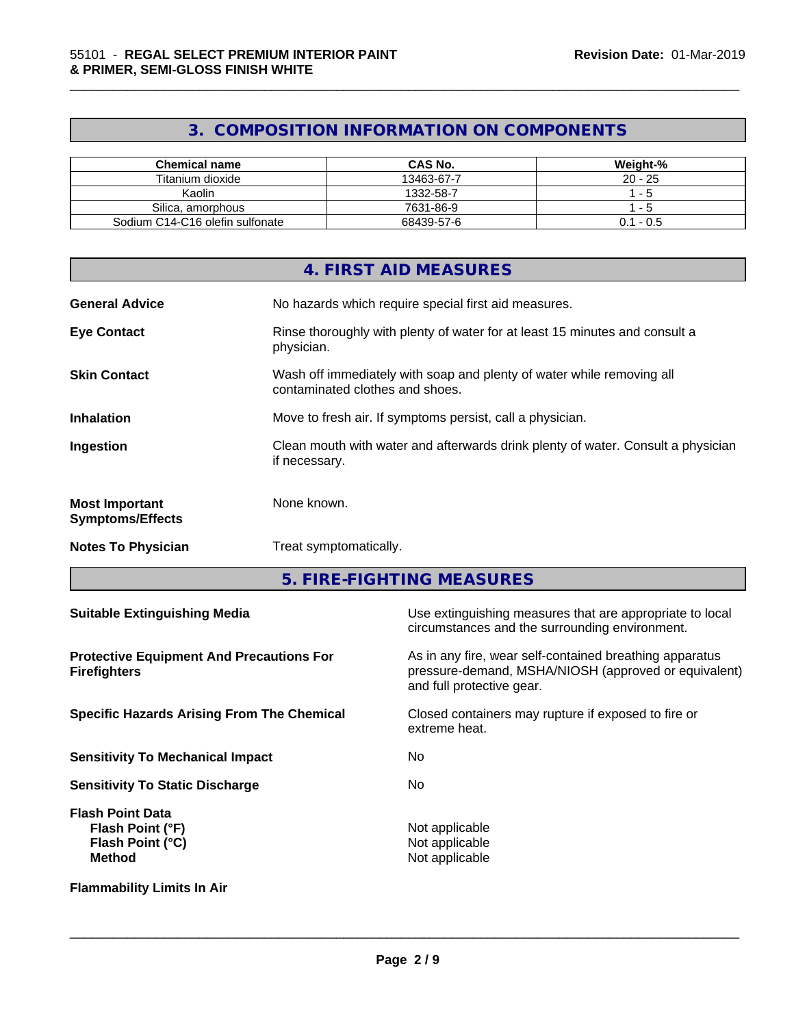# **3. COMPOSITION INFORMATION ON COMPONENTS**

\_\_\_\_\_\_\_\_\_\_\_\_\_\_\_\_\_\_\_\_\_\_\_\_\_\_\_\_\_\_\_\_\_\_\_\_\_\_\_\_\_\_\_\_\_\_\_\_\_\_\_\_\_\_\_\_\_\_\_\_\_\_\_\_\_\_\_\_\_\_\_\_\_\_\_\_\_\_\_\_\_\_\_\_\_\_\_\_\_\_\_\_\_

| Chemical name                   | <b>CAS No.</b> | Weight-%    |
|---------------------------------|----------------|-------------|
| Titanium dioxide                | 13463-67-7     | $20 - 25$   |
| Kaolin                          | 1332-58-7      | - 5         |
| Silica, amorphous               | 7631-86-9      | - 5         |
| Sodium C14-C16 olefin sulfonate | 68439-57-6     | $0.1 - 0.5$ |

|                                                  | 4. FIRST AID MEASURES                                                                                    |
|--------------------------------------------------|----------------------------------------------------------------------------------------------------------|
| <b>General Advice</b>                            | No hazards which require special first aid measures.                                                     |
| <b>Eye Contact</b>                               | Rinse thoroughly with plenty of water for at least 15 minutes and consult a<br>physician.                |
| <b>Skin Contact</b>                              | Wash off immediately with soap and plenty of water while removing all<br>contaminated clothes and shoes. |
| <b>Inhalation</b>                                | Move to fresh air. If symptoms persist, call a physician.                                                |
| Ingestion                                        | Clean mouth with water and afterwards drink plenty of water. Consult a physician<br>if necessary.        |
| <b>Most Important</b><br><b>Symptoms/Effects</b> | None known.                                                                                              |
| <b>Notes To Physician</b>                        | Treat symptomatically.                                                                                   |
|                                                  |                                                                                                          |

**5. FIRE-FIGHTING MEASURES**

| <b>Suitable Extinguishing Media</b>                                              | Use extinguishing measures that are appropriate to local<br>circumstances and the surrounding environment.                                   |
|----------------------------------------------------------------------------------|----------------------------------------------------------------------------------------------------------------------------------------------|
| <b>Protective Equipment And Precautions For</b><br><b>Firefighters</b>           | As in any fire, wear self-contained breathing apparatus<br>pressure-demand, MSHA/NIOSH (approved or equivalent)<br>and full protective gear. |
| <b>Specific Hazards Arising From The Chemical</b>                                | Closed containers may rupture if exposed to fire or<br>extreme heat.                                                                         |
| <b>Sensitivity To Mechanical Impact</b>                                          | No.                                                                                                                                          |
| <b>Sensitivity To Static Discharge</b>                                           | No.                                                                                                                                          |
| <b>Flash Point Data</b><br>Flash Point (°F)<br>Flash Point (°C)<br><b>Method</b> | Not applicable<br>Not applicable<br>Not applicable                                                                                           |
| <b>Flammability Limits In Air</b>                                                |                                                                                                                                              |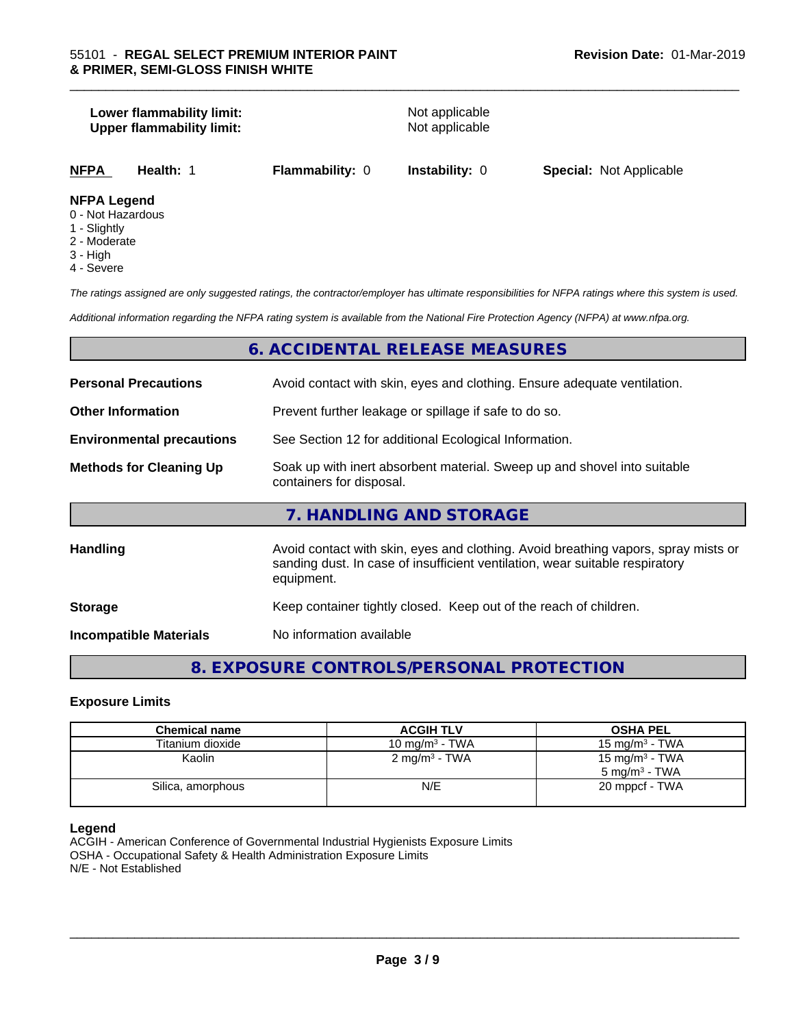# **Lower flammability limit:**<br> **Upper flammability limit:**<br>
Upper flammability limit:<br>
Not applicable **Upper flammability limit: NFPA Health:** 1 **Flammability:** 0 **Instability:** 0 **Special:** Not Applicable

#### **NFPA Legend**

- 0 Not Hazardous
- 1 Slightly
- 2 Moderate
- 3 High
- 4 Severe

*The ratings assigned are only suggested ratings, the contractor/employer has ultimate responsibilities for NFPA ratings where this system is used.*

\_\_\_\_\_\_\_\_\_\_\_\_\_\_\_\_\_\_\_\_\_\_\_\_\_\_\_\_\_\_\_\_\_\_\_\_\_\_\_\_\_\_\_\_\_\_\_\_\_\_\_\_\_\_\_\_\_\_\_\_\_\_\_\_\_\_\_\_\_\_\_\_\_\_\_\_\_\_\_\_\_\_\_\_\_\_\_\_\_\_\_\_\_

*Additional information regarding the NFPA rating system is available from the National Fire Protection Agency (NFPA) at www.nfpa.org.*

### **6. ACCIDENTAL RELEASE MEASURES**

| <b>Personal Precautions</b>      | Avoid contact with skin, eyes and clothing. Ensure adequate ventilation.                                                                                                         |
|----------------------------------|----------------------------------------------------------------------------------------------------------------------------------------------------------------------------------|
| <b>Other Information</b>         | Prevent further leakage or spillage if safe to do so.                                                                                                                            |
| <b>Environmental precautions</b> | See Section 12 for additional Ecological Information.                                                                                                                            |
| <b>Methods for Cleaning Up</b>   | Soak up with inert absorbent material. Sweep up and shovel into suitable<br>containers for disposal.                                                                             |
|                                  | 7. HANDLING AND STORAGE                                                                                                                                                          |
| Handling                         | Avoid contact with skin, eyes and clothing. Avoid breathing vapors, spray mists or<br>sanding dust. In case of insufficient ventilation, wear suitable respiratory<br>equipment. |
| <b>Storage</b>                   | Keep container tightly closed. Keep out of the reach of children.                                                                                                                |
| <b>Incompatible Materials</b>    | No information available                                                                                                                                                         |

# **8. EXPOSURE CONTROLS/PERSONAL PROTECTION**

#### **Exposure Limits**

| <b>Chemical name</b> | <b>ACGIH TLV</b>         | <b>OSHA PEL</b>            |
|----------------------|--------------------------|----------------------------|
| Titanium dioxide     | 10 mg/m $3$ - TWA        | 15 mg/m $3$ - TWA          |
| Kaolin               | $2 \text{ mg/m}^3$ - TWA | 15 mg/m <sup>3</sup> - TWA |
|                      |                          | $5 \text{ ma/m}^3$ - TWA   |
| Silica, amorphous    | N/E                      | 20 mppcf - TWA             |
|                      |                          |                            |

#### **Legend**

ACGIH - American Conference of Governmental Industrial Hygienists Exposure Limits OSHA - Occupational Safety & Health Administration Exposure Limits N/E - Not Established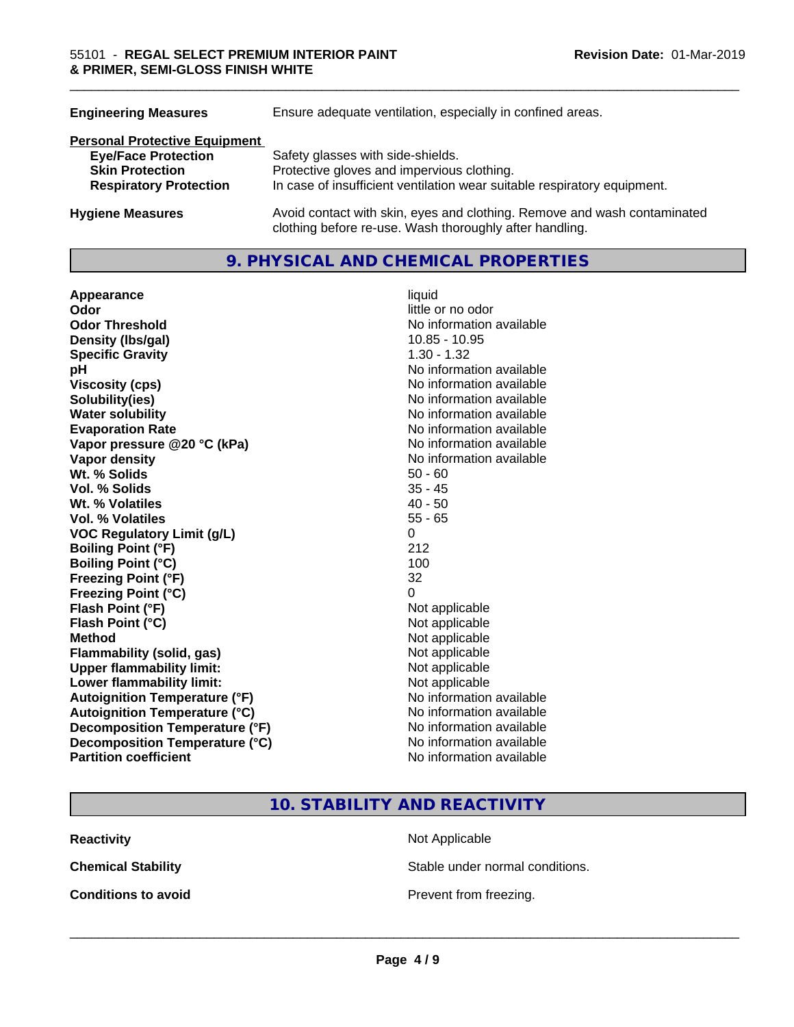| <b>Engineering Measures</b>          | Ensure adequate ventilation, especially in confined areas.                                                                          |
|--------------------------------------|-------------------------------------------------------------------------------------------------------------------------------------|
| <b>Personal Protective Equipment</b> |                                                                                                                                     |
| <b>Eye/Face Protection</b>           | Safety glasses with side-shields.                                                                                                   |
| <b>Skin Protection</b>               | Protective gloves and impervious clothing.                                                                                          |
| <b>Respiratory Protection</b>        | In case of insufficient ventilation wear suitable respiratory equipment.                                                            |
| <b>Hygiene Measures</b>              | Avoid contact with skin, eyes and clothing. Remove and wash contaminated<br>clothing before re-use. Wash thoroughly after handling. |

#### **9. PHYSICAL AND CHEMICAL PROPERTIES**

| Appearance                           | liquid                   |
|--------------------------------------|--------------------------|
| Odor                                 | little or no odor        |
| <b>Odor Threshold</b>                | No information available |
| Density (Ibs/gal)                    | 10.85 - 10.95            |
| <b>Specific Gravity</b>              | $1.30 - 1.32$            |
| рH                                   | No information available |
| <b>Viscosity (cps)</b>               | No information available |
| Solubility(ies)                      | No information available |
| <b>Water solubility</b>              | No information available |
| <b>Evaporation Rate</b>              | No information available |
| Vapor pressure @20 °C (kPa)          | No information available |
| Vapor density                        | No information available |
| Wt. % Solids                         | $50 - 60$                |
| <b>Vol. % Solids</b>                 | $35 - 45$                |
| Wt. % Volatiles                      | $40 - 50$                |
| Vol. % Volatiles                     | $55 - 65$                |
| <b>VOC Regulatory Limit (g/L)</b>    | $\Omega$                 |
| <b>Boiling Point (°F)</b>            | 212                      |
| <b>Boiling Point (°C)</b>            | 100                      |
| <b>Freezing Point (°F)</b>           | 32                       |
| Freezing Point (°C)                  | 0                        |
| Flash Point (°F)                     | Not applicable           |
| Flash Point (°C)                     | Not applicable           |
| <b>Method</b>                        | Not applicable           |
| <b>Flammability (solid, gas)</b>     | Not applicable           |
| <b>Upper flammability limit:</b>     | Not applicable           |
| Lower flammability limit:            | Not applicable           |
| <b>Autoignition Temperature (°F)</b> | No information available |
| <b>Autoignition Temperature (°C)</b> | No information available |
| Decomposition Temperature (°F)       | No information available |
| Decomposition Temperature (°C)       | No information available |
| <b>Partition coefficient</b>         | No information available |

\_\_\_\_\_\_\_\_\_\_\_\_\_\_\_\_\_\_\_\_\_\_\_\_\_\_\_\_\_\_\_\_\_\_\_\_\_\_\_\_\_\_\_\_\_\_\_\_\_\_\_\_\_\_\_\_\_\_\_\_\_\_\_\_\_\_\_\_\_\_\_\_\_\_\_\_\_\_\_\_\_\_\_\_\_\_\_\_\_\_\_\_\_

# **10. STABILITY AND REACTIVITY**

**Reactivity** Not Applicable

**Chemical Stability Stable under normal conditions.** 

**Conditions to avoid Conditions to avoid Prevent from freezing.**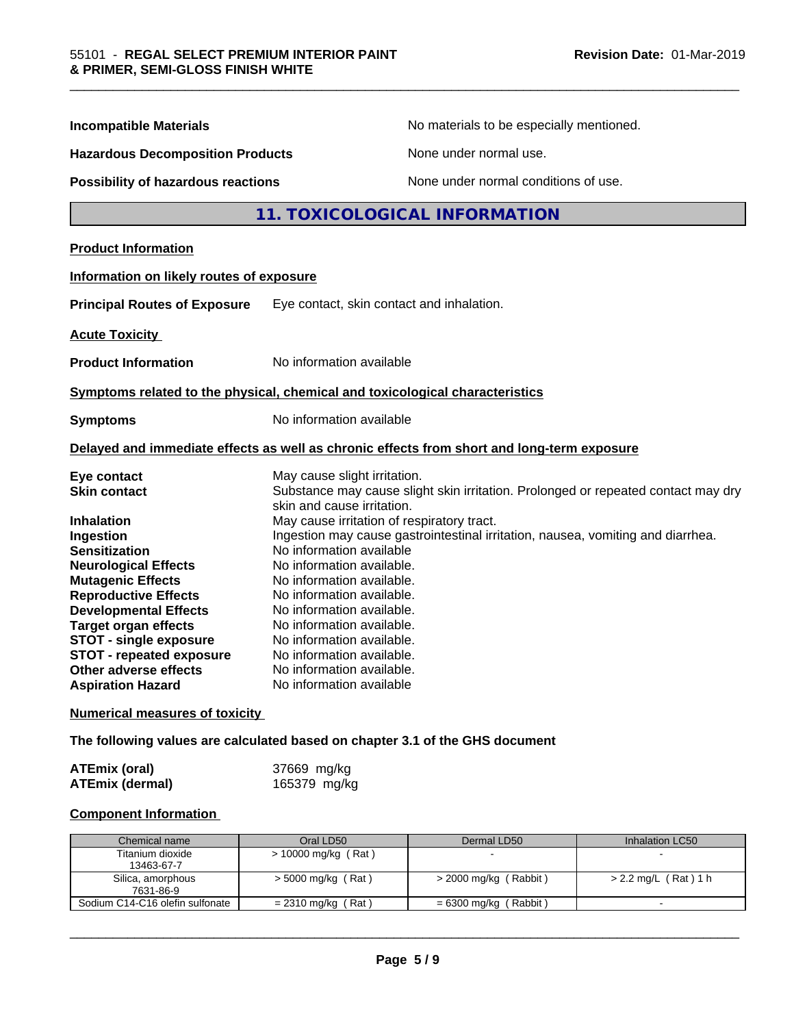| <b>Incompatible Materials</b>            |                                                                                                                 | No materials to be especially mentioned. |  |
|------------------------------------------|-----------------------------------------------------------------------------------------------------------------|------------------------------------------|--|
| <b>Hazardous Decomposition Products</b>  |                                                                                                                 | None under normal use.                   |  |
| Possibility of hazardous reactions       | None under normal conditions of use.                                                                            |                                          |  |
|                                          | 11. TOXICOLOGICAL INFORMATION                                                                                   |                                          |  |
| <b>Product Information</b>               |                                                                                                                 |                                          |  |
| Information on likely routes of exposure |                                                                                                                 |                                          |  |
| <b>Principal Routes of Exposure</b>      | Eye contact, skin contact and inhalation.                                                                       |                                          |  |
| <b>Acute Toxicity</b>                    |                                                                                                                 |                                          |  |
| <b>Product Information</b>               | No information available                                                                                        |                                          |  |
|                                          | Symptoms related to the physical, chemical and toxicological characteristics                                    |                                          |  |
| <b>Symptoms</b>                          | No information available                                                                                        |                                          |  |
|                                          | Delayed and immediate effects as well as chronic effects from short and long-term exposure                      |                                          |  |
| Eye contact                              | May cause slight irritation.                                                                                    |                                          |  |
| <b>Skin contact</b>                      | Substance may cause slight skin irritation. Prolonged or repeated contact may dry<br>skin and cause irritation. |                                          |  |
| <b>Inhalation</b>                        | May cause irritation of respiratory tract.                                                                      |                                          |  |
| Ingestion                                | Ingestion may cause gastrointestinal irritation, nausea, vomiting and diarrhea.                                 |                                          |  |
| <b>Sensitization</b>                     | No information available                                                                                        |                                          |  |
| <b>Neurological Effects</b>              | No information available.                                                                                       |                                          |  |
| <b>Mutagenic Effects</b>                 | No information available.                                                                                       |                                          |  |
| <b>Reproductive Effects</b>              | No information available.                                                                                       |                                          |  |
| <b>Developmental Effects</b>             | No information available.                                                                                       |                                          |  |
| <b>Target organ effects</b>              | No information available.                                                                                       |                                          |  |
| <b>STOT - single exposure</b>            | No information available.                                                                                       |                                          |  |
| STOT - repeated exposure                 | No information available.                                                                                       |                                          |  |
| Other adverse effects                    | No information available.                                                                                       |                                          |  |
| <b>Aspiration Hazard</b>                 | No information available                                                                                        |                                          |  |
| <b>Numerical measures of toxicity</b>    |                                                                                                                 |                                          |  |

**The following values are calculated based on chapter 3.1 of the GHS document**

| <b>ATEmix (oral)</b>   | 37669 mg/kg  |
|------------------------|--------------|
| <b>ATEmix (dermal)</b> | 165379 mg/kg |

### **Component Information**

| Chemical name                   | Oral LD50            | Dermal LD50             | Inhalation LC50      |
|---------------------------------|----------------------|-------------------------|----------------------|
| Titanium dioxide                | > 10000 mg/kg (Rat)  |                         |                      |
| 13463-67-7                      |                      |                         |                      |
| Silica, amorphous               | $>$ 5000 mg/kg (Rat) | $>$ 2000 mg/kg (Rabbit) | > 2.2 mg/L (Rat) 1 h |
| 7631-86-9                       |                      |                         |                      |
| Sodium C14-C16 olefin sulfonate | $= 2310$ mg/kg (Rat) | = 6300 mg/kg (Rabbit)   |                      |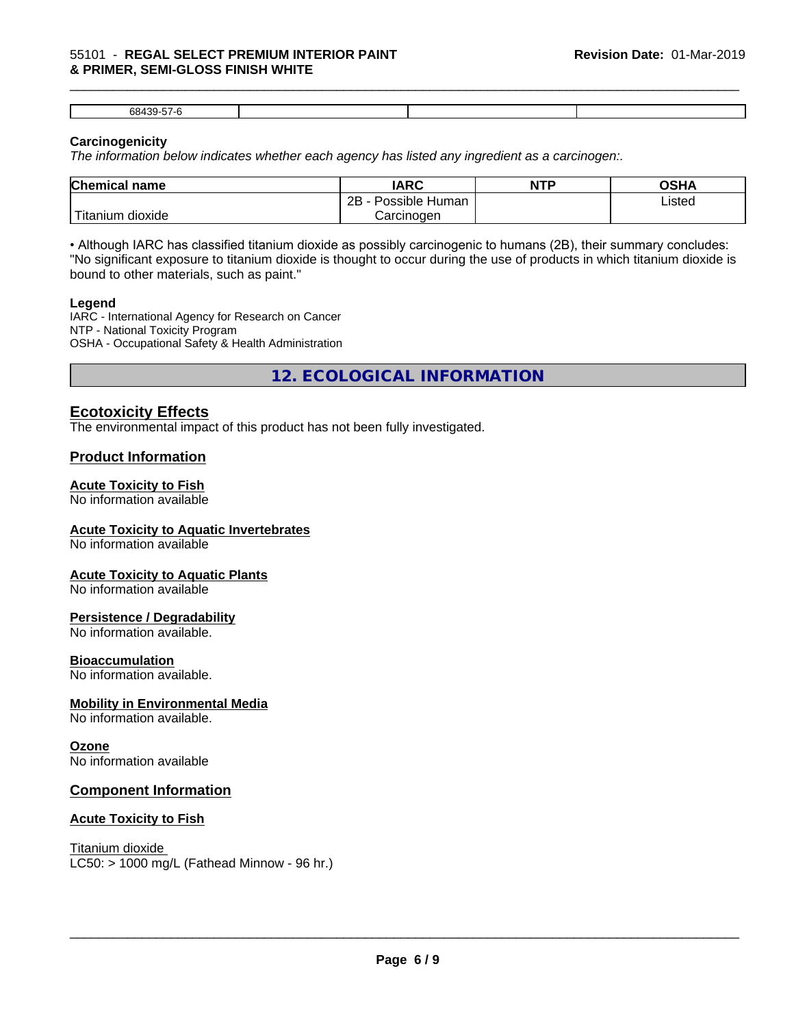#### 55101 - **REGAL SELECT PREMIUM INTERIOR PAINT & PRIMER, SEMI-GLOSS FINISH WHITE**

| $\sim$ |  |  |
|--------|--|--|

\_\_\_\_\_\_\_\_\_\_\_\_\_\_\_\_\_\_\_\_\_\_\_\_\_\_\_\_\_\_\_\_\_\_\_\_\_\_\_\_\_\_\_\_\_\_\_\_\_\_\_\_\_\_\_\_\_\_\_\_\_\_\_\_\_\_\_\_\_\_\_\_\_\_\_\_\_\_\_\_\_\_\_\_\_\_\_\_\_\_\_\_\_

#### **Carcinogenicity**

*The information below indicateswhether each agency has listed any ingredient as a carcinogen:.*

| <b>Chemical name</b>                      | <b>IARC</b>                       | <b>NTP</b> | OSHA   |  |
|-------------------------------------------|-----------------------------------|------------|--------|--|
|                                           | . .<br>2B<br>Possible<br>∖ Human∶ |            | Listed |  |
| $\mathbf{r}$<br>dioxide<br><b>itanium</b> | Carcinogen                        |            |        |  |

• Although IARC has classified titanium dioxide as possibly carcinogenic to humans (2B), their summary concludes: "No significant exposure to titanium dioxide is thought to occur during the use of products in which titanium dioxide is bound to other materials, such as paint."

#### **Legend**

IARC - International Agency for Research on Cancer NTP - National Toxicity Program OSHA - Occupational Safety & Health Administration

**12. ECOLOGICAL INFORMATION**

### **Ecotoxicity Effects**

The environmental impact of this product has not been fully investigated.

### **Product Information**

#### **Acute Toxicity to Fish**

No information available

#### **Acute Toxicity to Aquatic Invertebrates**

No information available

#### **Acute Toxicity to Aquatic Plants**

No information available

#### **Persistence / Degradability**

No information available.

#### **Bioaccumulation**

No information available.

#### **Mobility in Environmental Media**

No information available.

#### **Ozone**

No information available

#### **Component Information**

#### **Acute Toxicity to Fish**

Titanium dioxide  $LC50:$  > 1000 mg/L (Fathead Minnow - 96 hr.)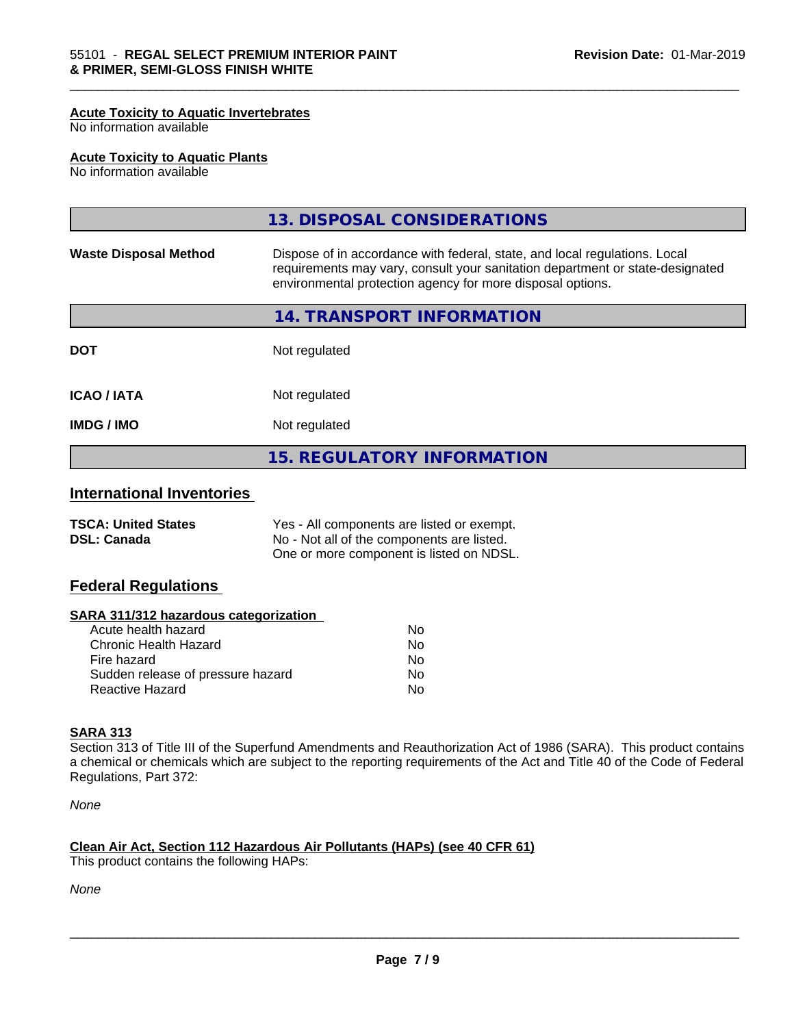#### **Acute Toxicity to Aquatic Invertebrates**

No information available

#### **Acute Toxicity to Aquatic Plants**

No information available

|                                                                                                                                                                                                                                                           | <b>15. REGULATORY INFORMATION</b> |  |
|-----------------------------------------------------------------------------------------------------------------------------------------------------------------------------------------------------------------------------------------------------------|-----------------------------------|--|
| Not regulated<br><b>IMDG/IMO</b>                                                                                                                                                                                                                          |                                   |  |
| <b>ICAO/IATA</b>                                                                                                                                                                                                                                          | Not regulated                     |  |
| <b>DOT</b>                                                                                                                                                                                                                                                | Not regulated                     |  |
|                                                                                                                                                                                                                                                           | 14. TRANSPORT INFORMATION         |  |
| Dispose of in accordance with federal, state, and local regulations. Local<br><b>Waste Disposal Method</b><br>requirements may vary, consult your sanitation department or state-designated<br>environmental protection agency for more disposal options. |                                   |  |
|                                                                                                                                                                                                                                                           | 13. DISPOSAL CONSIDERATIONS       |  |

\_\_\_\_\_\_\_\_\_\_\_\_\_\_\_\_\_\_\_\_\_\_\_\_\_\_\_\_\_\_\_\_\_\_\_\_\_\_\_\_\_\_\_\_\_\_\_\_\_\_\_\_\_\_\_\_\_\_\_\_\_\_\_\_\_\_\_\_\_\_\_\_\_\_\_\_\_\_\_\_\_\_\_\_\_\_\_\_\_\_\_\_\_

## **International Inventories**

| <b>TSCA: United States</b> | Yes - All components are listed or exempt. |
|----------------------------|--------------------------------------------|
| <b>DSL: Canada</b>         | No - Not all of the components are listed. |
|                            | One or more component is listed on NDSL.   |

#### **Federal Regulations**

#### **SARA 311/312 hazardous categorization**

| Acute health hazard               | Nο |
|-----------------------------------|----|
| Chronic Health Hazard             | Nο |
| Fire hazard                       | N٥ |
| Sudden release of pressure hazard | Nο |
| Reactive Hazard                   | N٥ |

#### **SARA 313**

Section 313 of Title III of the Superfund Amendments and Reauthorization Act of 1986 (SARA). This product contains a chemical or chemicals which are subject to the reporting requirements of the Act and Title 40 of the Code of Federal Regulations, Part 372:

*None*

#### **Clean Air Act,Section 112 Hazardous Air Pollutants (HAPs) (see 40 CFR 61)**

This product contains the following HAPs:

*None*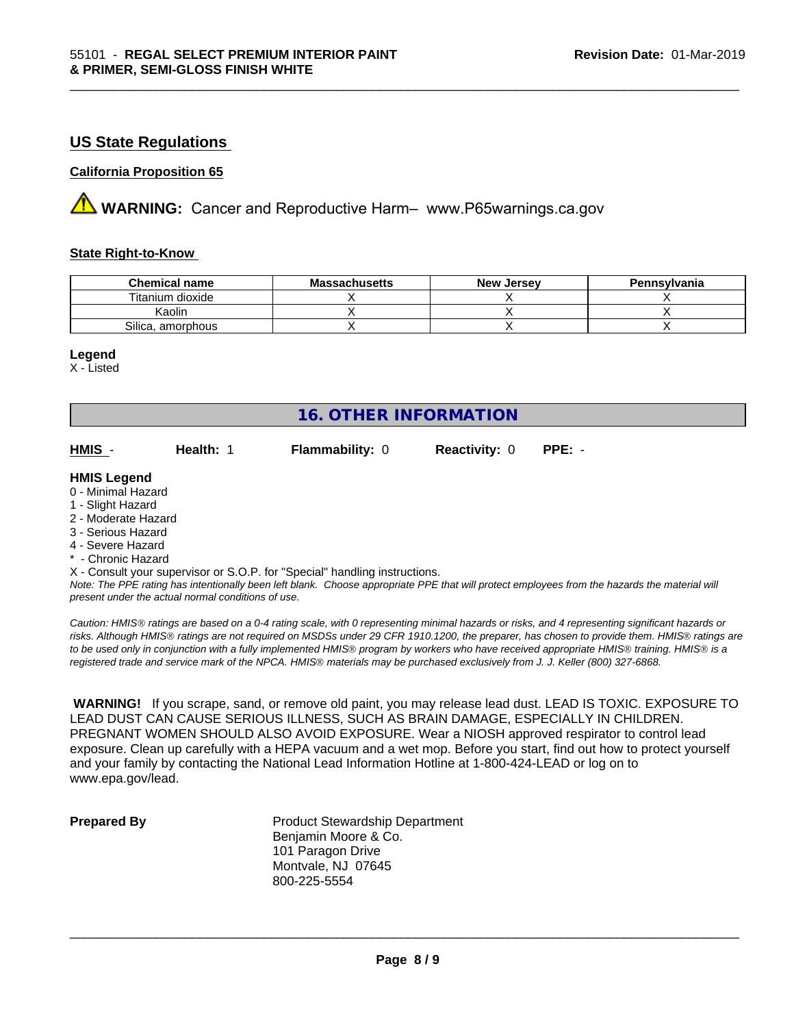### **US State Regulations**

#### **California Proposition 65**

**AVIMARNING:** Cancer and Reproductive Harm– www.P65warnings.ca.gov

#### **State Right-to-Know**

| <b>Chemical name</b> | <b>Massachusetts</b> | <b>New Jersey</b> | Pennsylvania |
|----------------------|----------------------|-------------------|--------------|
| Titanium dioxide     |                      |                   |              |
| Kaolin               |                      |                   |              |
| Silica, amorphous    |                      |                   |              |

\_\_\_\_\_\_\_\_\_\_\_\_\_\_\_\_\_\_\_\_\_\_\_\_\_\_\_\_\_\_\_\_\_\_\_\_\_\_\_\_\_\_\_\_\_\_\_\_\_\_\_\_\_\_\_\_\_\_\_\_\_\_\_\_\_\_\_\_\_\_\_\_\_\_\_\_\_\_\_\_\_\_\_\_\_\_\_\_\_\_\_\_\_

#### **Legend**

X - Listed

| <b>16. OTHER INFORMATION</b> |           |                                                                            |                      |                                                                                                                                               |  |  |
|------------------------------|-----------|----------------------------------------------------------------------------|----------------------|-----------------------------------------------------------------------------------------------------------------------------------------------|--|--|
| HMIS -                       | Health: 1 | <b>Flammability: 0</b>                                                     | <b>Reactivity: 0</b> | $PPE: -$                                                                                                                                      |  |  |
| <b>HMIS Legend</b>           |           |                                                                            |                      |                                                                                                                                               |  |  |
| 0 - Minimal Hazard           |           |                                                                            |                      |                                                                                                                                               |  |  |
| 1 - Slight Hazard            |           |                                                                            |                      |                                                                                                                                               |  |  |
| 2 - Moderate Hazard          |           |                                                                            |                      |                                                                                                                                               |  |  |
| 3 - Serious Hazard           |           |                                                                            |                      |                                                                                                                                               |  |  |
| 4 - Severe Hazard            |           |                                                                            |                      |                                                                                                                                               |  |  |
| * - Chronic Hazard           |           |                                                                            |                      |                                                                                                                                               |  |  |
|                              |           | X - Consult your supervisor or S.O.P. for "Special" handling instructions. |                      |                                                                                                                                               |  |  |
|                              |           |                                                                            |                      | Note: The DDE rating has intentionally been left blank. Choose appropriate DDE that will protect employees from the bazards the material will |  |  |

*Note: The PPE rating has intentionally been left blank. Choose appropriate PPE that will protect employees from the hazards the material will present under the actual normal conditions of use.*

*Caution: HMISÒ ratings are based on a 0-4 rating scale, with 0 representing minimal hazards or risks, and 4 representing significant hazards or risks. Although HMISÒ ratings are not required on MSDSs under 29 CFR 1910.1200, the preparer, has chosen to provide them. HMISÒ ratings are to be used only in conjunction with a fully implemented HMISÒ program by workers who have received appropriate HMISÒ training. HMISÒ is a registered trade and service mark of the NPCA. HMISÒ materials may be purchased exclusively from J. J. Keller (800) 327-6868.*

 **WARNING!** If you scrape, sand, or remove old paint, you may release lead dust. LEAD IS TOXIC. EXPOSURE TO LEAD DUST CAN CAUSE SERIOUS ILLNESS, SUCH AS BRAIN DAMAGE, ESPECIALLY IN CHILDREN. PREGNANT WOMEN SHOULD ALSO AVOID EXPOSURE.Wear a NIOSH approved respirator to control lead exposure. Clean up carefully with a HEPA vacuum and a wet mop. Before you start, find out how to protect yourself and your family by contacting the National Lead Information Hotline at 1-800-424-LEAD or log on to www.epa.gov/lead.

**Prepared By** Product Stewardship Department Benjamin Moore & Co. 101 Paragon Drive Montvale, NJ 07645 800-225-5554